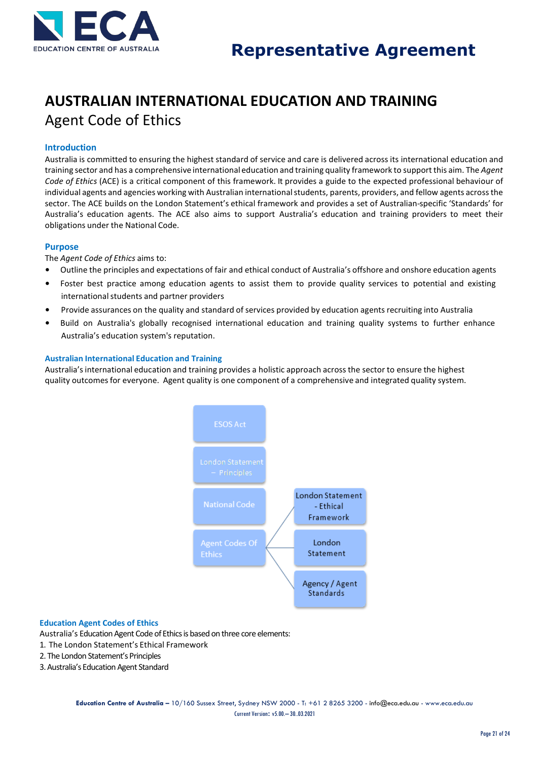

## **AUSTRALIAN INTERNATIONAL EDUCATION AND TRAINING** Agent Code of Ethics

### **Introduction**

Australia is committed to ensuring the highest standard of service and care is delivered across its international education and training sector and has a comprehensive international education and training quality framework to support this aim. The *Agent Code of Ethics* (ACE) is a critical component of this framework. It provides a guide to the expected professional behaviour of individual agents and agencies working with Australian international students, parents, providers, and fellow agents across the sector. The ACE builds on the London Statement's ethical framework and provides a set of Australian-specific 'Standards' for Australia's education agents. The ACE also aims to support Australia's education and training providers to meet their obligations under the National Code.

#### **Purpose**

The *Agent Code of Ethics* aims to:

- Outline the principles and expectations of fair and ethical conduct of Australia's offshore and onshore education agents
- Foster best practice among education agents to assist them to provide quality services to potential and existing international students and partner providers
- Provide assurances on the quality and standard of services provided by education agents recruiting into Australia
- Build on Australia's globally recognised international education and training quality systems to further enhance Australia's education system's reputation.

#### **Australian International Education and Training**

Australia's international education and training provides a holistic approach across the sector to ensure the highest quality outcomesfor everyone. Agent quality is one component of a comprehensive and integrated quality system.



#### **Education Agent Codes of Ethics**

Australia's Education Agent Code of Ethics is based on three core elements:

- 1. The London Statement's Ethical Framework
- 2. The London Statement's Principles
- 3. Australia's Education Agent Standard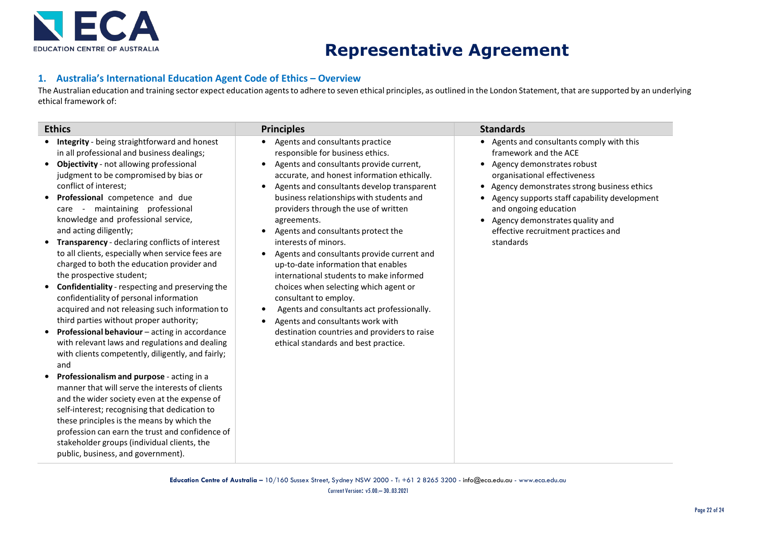

# **Representative Agreement**

### **1. Australia's International Education Agent Code of Ethics – Overview**

The Australian education and training sector expect education agents to adhere to seven ethical principles, as outlined in the London Statement, that are supported by an underlying ethical framework of:

| <b>Ethics</b>                                                                                                                                                                                                                                                                                                                                                                                                                                                                                                                                                                                                                                                                                                                                                                                                                                                                                                                                                                                                                                                                                                                                                                                                                                                                   | <b>Principles</b>                                                                                                                                                                                                                                                                                                                                                                                                                                                                                                                                                                                                                                                                                                                                                     | <b>Standards</b>                                                                                                                                                                                                                                                                                                                                 |
|---------------------------------------------------------------------------------------------------------------------------------------------------------------------------------------------------------------------------------------------------------------------------------------------------------------------------------------------------------------------------------------------------------------------------------------------------------------------------------------------------------------------------------------------------------------------------------------------------------------------------------------------------------------------------------------------------------------------------------------------------------------------------------------------------------------------------------------------------------------------------------------------------------------------------------------------------------------------------------------------------------------------------------------------------------------------------------------------------------------------------------------------------------------------------------------------------------------------------------------------------------------------------------|-----------------------------------------------------------------------------------------------------------------------------------------------------------------------------------------------------------------------------------------------------------------------------------------------------------------------------------------------------------------------------------------------------------------------------------------------------------------------------------------------------------------------------------------------------------------------------------------------------------------------------------------------------------------------------------------------------------------------------------------------------------------------|--------------------------------------------------------------------------------------------------------------------------------------------------------------------------------------------------------------------------------------------------------------------------------------------------------------------------------------------------|
| Integrity - being straightforward and honest<br>in all professional and business dealings;<br>Objectivity - not allowing professional<br>judgment to be compromised by bias or<br>conflict of interest:<br>Professional competence and due<br>care - maintaining professional<br>knowledge and professional service,<br>and acting diligently;<br>Transparency - declaring conflicts of interest<br>to all clients, especially when service fees are<br>charged to both the education provider and<br>the prospective student;<br>Confidentiality - respecting and preserving the<br>confidentiality of personal information<br>acquired and not releasing such information to<br>third parties without proper authority;<br>Professional behaviour - acting in accordance<br>with relevant laws and regulations and dealing<br>with clients competently, diligently, and fairly;<br>and<br>Professionalism and purpose - acting in a<br>manner that will serve the interests of clients<br>and the wider society even at the expense of<br>self-interest; recognising that dedication to<br>these principles is the means by which the<br>profession can earn the trust and confidence of<br>stakeholder groups (individual clients, the<br>public, business, and government). | Agents and consultants practice<br>responsible for business ethics.<br>Agents and consultants provide current,<br>$\bullet$<br>accurate, and honest information ethically.<br>Agents and consultants develop transparent<br>business relationships with students and<br>providers through the use of written<br>agreements.<br>Agents and consultants protect the<br>interests of minors.<br>Agents and consultants provide current and<br>up-to-date information that enables<br>international students to make informed<br>choices when selecting which agent or<br>consultant to employ.<br>Agents and consultants act professionally.<br>Agents and consultants work with<br>destination countries and providers to raise<br>ethical standards and best practice. | Agents and consultants comply with this<br>framework and the ACE<br>• Agency demonstrates robust<br>organisational effectiveness<br>Agency demonstrates strong business ethics<br>Agency supports staff capability development<br>and ongoing education<br>• Agency demonstrates quality and<br>effective recruitment practices and<br>standards |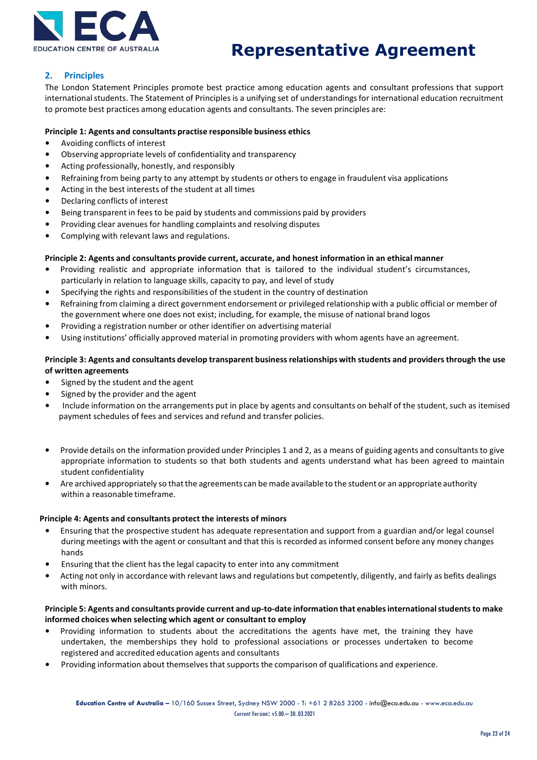

# **Representative Agreement**

### **2. Principles**

The London Statement Principles promote best practice among education agents and consultant professions that support international students. The Statement of Principles is a unifying set of understandings for international education recruitment to promote best practices among education agents and consultants. The seven principles are:

### **Principle 1: Agents and consultants practise responsible business ethics**

- Avoiding conflicts of interest
- Observing appropriate levels of confidentiality and transparency
- Acting professionally, honestly, and responsibly
- Refraining from being party to any attempt by students or others to engage in fraudulent visa applications
- Acting in the best interests of the student at all times
- Declaring conflicts of interest
- Being transparent in fees to be paid by students and commissions paid by providers
- Providing clear avenues for handling complaints and resolving disputes
- Complying with relevant laws and regulations.

#### **Principle 2: Agents and consultants provide current, accurate, and honest information in an ethical manner**

- Providing realistic and appropriate information that is tailored to the individual student's circumstances, particularly in relation to language skills, capacity to pay, and level of study
- Specifying the rights and responsibilities of the student in the country of destination
- Refraining from claiming a direct government endorsement or privileged relationship with a public official or member of the government where one does not exist; including, for example, the misuse of national brand logos
- Providing a registration number or other identifier on advertising material
- Using institutions' officially approved material in promoting providers with whom agents have an agreement.

### **Principle 3: Agents and consultants develop transparent businessrelationships with students and providersthrough the use of written agreements**

- Signed by the student and the agent
- Signed by the provider and the agent
- Include information on the arrangements put in place by agents and consultants on behalf of the student, such as itemised payment schedules of fees and services and refund and transfer policies.
- Provide details on the information provided under Principles 1 and 2, as a means of guiding agents and consultants to give appropriate information to students so that both students and agents understand what has been agreed to maintain student confidentiality
- Are archived appropriately so that the agreements can be made available to the student or an appropriate authority within a reasonable timeframe.

#### **Principle 4: Agents and consultants protect the interests of minors**

- Ensuring that the prospective student has adequate representation and support from a guardian and/or legal counsel during meetings with the agent or consultant and that this is recorded as informed consent before any money changes hands
- Ensuring that the client has the legal capacity to enter into any commitment
- Acting not only in accordance with relevant laws and regulations but competently, diligently, and fairly as befits dealings with minors.

#### **Principle 5: Agents and consultants provide current and up-to-date information that enablesinternationalstudents to make informed choices when selecting which agent or consultant to employ**

- Providing information to students about the accreditations the agents have met, the training they have undertaken, the memberships they hold to professional associations or processes undertaken to become registered and accredited education agents and consultants
- Providing information about themselvesthat supports the comparison of qualifications and experience.